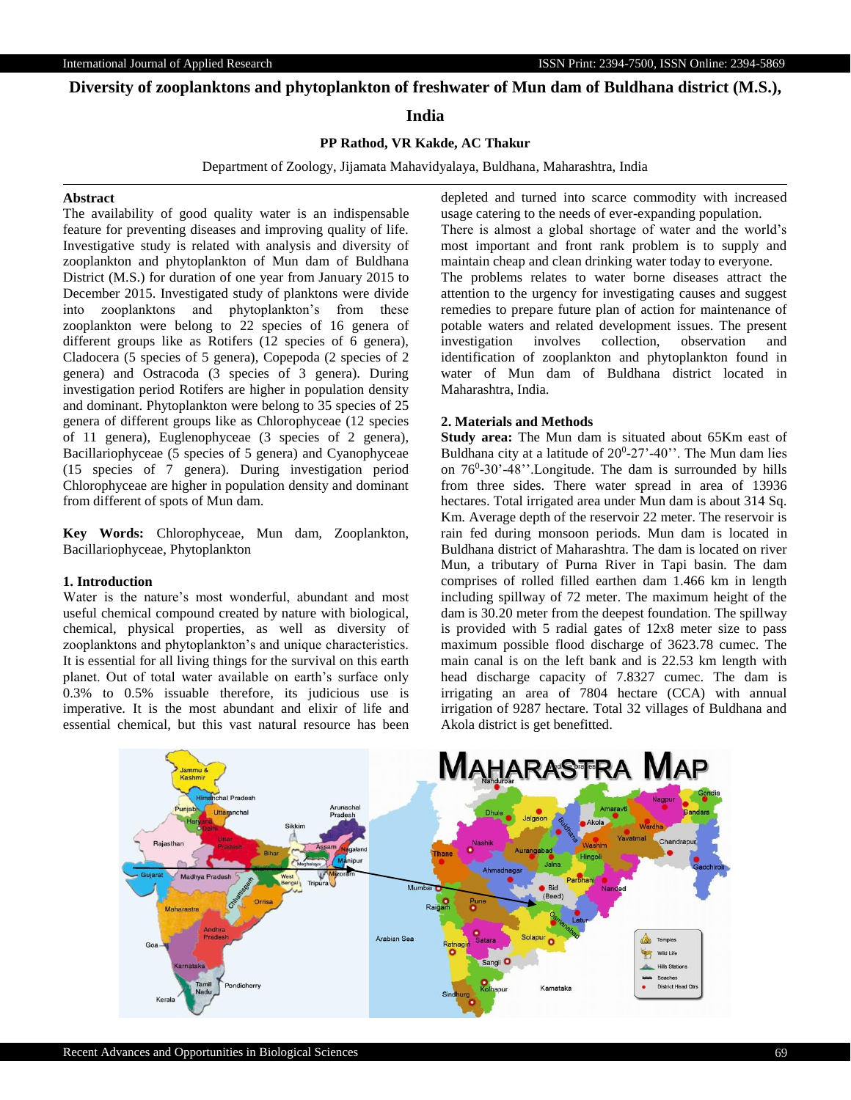# **Diversity of zooplanktons and phytoplankton of freshwater of Mun dam of Buldhana district (M.S.),**

## **India**

## **PP Rathod, VR Kakde, AC Thakur**

Department of Zoology, Jijamata Mahavidyalaya, Buldhana, Maharashtra, India

### **Abstract**

The availability of good quality water is an indispensable feature for preventing diseases and improving quality of life. Investigative study is related with analysis and diversity of zooplankton and phytoplankton of Mun dam of Buldhana District (M.S.) for duration of one year from January 2015 to December 2015. Investigated study of planktons were divide into zooplanktons and phytoplankton's from these zooplankton were belong to 22 species of 16 genera of different groups like as Rotifers (12 species of 6 genera), Cladocera (5 species of 5 genera), Copepoda (2 species of 2 genera) and Ostracoda (3 species of 3 genera). During investigation period Rotifers are higher in population density and dominant. Phytoplankton were belong to 35 species of 25 genera of different groups like as Chlorophyceae (12 species of 11 genera), Euglenophyceae (3 species of 2 genera), Bacillariophyceae (5 species of 5 genera) and Cyanophyceae (15 species of 7 genera). During investigation period Chlorophyceae are higher in population density and dominant from different of spots of Mun dam.

**Key Words:** Chlorophyceae, Mun dam, Zooplankton, Bacillariophyceae, Phytoplankton

### **1. Introduction**

Water is the nature's most wonderful, abundant and most useful chemical compound created by nature with biological, chemical, physical properties, as well as diversity of zooplanktons and phytoplankton's and unique characteristics. It is essential for all living things for the survival on this earth planet. Out of total water available on earth's surface only 0.3% to 0.5% issuable therefore, its judicious use is imperative. It is the most abundant and elixir of life and essential chemical, but this vast natural resource has been

depleted and turned into scarce commodity with increased usage catering to the needs of ever-expanding population. There is almost a global shortage of water and the world's most important and front rank problem is to supply and maintain cheap and clean drinking water today to everyone. The problems relates to water borne diseases attract the attention to the urgency for investigating causes and suggest remedies to prepare future plan of action for maintenance of potable waters and related development issues. The present investigation involves collection, observation and identification of zooplankton and phytoplankton found in water of Mun dam of Buldhana district located in Maharashtra, India.

## **2. Materials and Methods**

**Study area:** The Mun dam is situated about 65Km east of Buldhana city at a latitude of  $20^0$ -27'-40''. The Mun dam lies on 76<sup>0</sup>-30'-48''.Longitude. The dam is surrounded by hills from three sides. There water spread in area of 13936 hectares. Total irrigated area under Mun dam is about 314 Sq. Km. Average depth of the reservoir 22 meter. The reservoir is rain fed during monsoon periods. Mun dam is located in Buldhana district of Maharashtra. The dam is located on river Mun, a tributary of Purna River in Tapi basin. The dam comprises of rolled filled earthen dam 1.466 km in length including spillway of 72 meter. The maximum height of the dam is 30.20 meter from the deepest foundation. The spillway is provided with 5 radial gates of 12x8 meter size to pass maximum possible flood discharge of 3623.78 cumec. The main canal is on the left bank and is 22.53 km length with head discharge capacity of 7.8327 cumec. The dam is irrigating an area of 7804 hectare (CCA) with annual irrigation of 9287 hectare. Total 32 villages of Buldhana and Akola district is get benefitted.

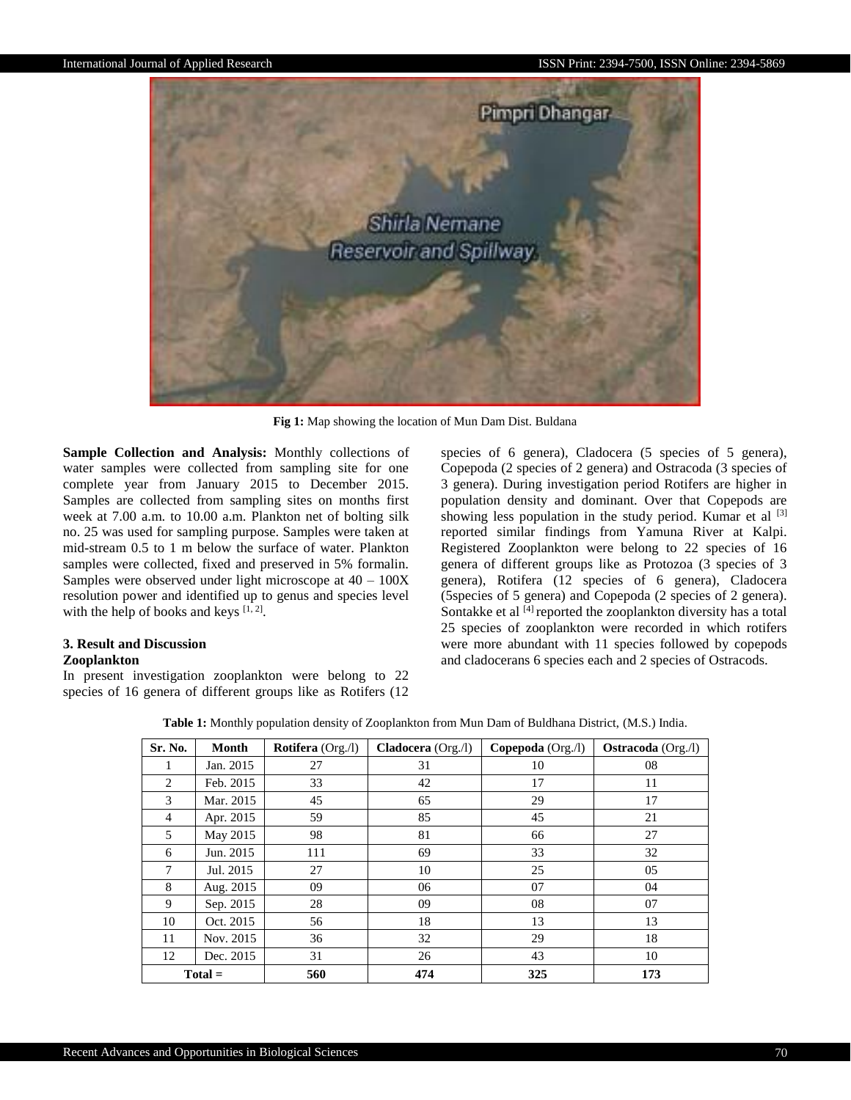

**Fig 1:** Map showing the location of Mun Dam Dist. Buldana

**Sample Collection and Analysis:** Monthly collections of water samples were collected from sampling site for one complete year from January 2015 to December 2015. Samples are collected from sampling sites on months first week at 7.00 a.m. to 10.00 a.m. Plankton net of bolting silk no. 25 was used for sampling purpose. Samples were taken at mid-stream 0.5 to 1 m below the surface of water. Plankton samples were collected, fixed and preserved in 5% formalin. Samples were observed under light microscope at  $40 - 100X$ resolution power and identified up to genus and species level with the help of books and keys  $[1, 2]$ .

# **3. Result and Discussion**

### **Zooplankton**

In present investigation zooplankton were belong to 22 species of 16 genera of different groups like as Rotifers (12 species of 6 genera), Cladocera (5 species of 5 genera), Copepoda (2 species of 2 genera) and Ostracoda (3 species of 3 genera). During investigation period Rotifers are higher in population density and dominant. Over that Copepods are showing less population in the study period. Kumar et al  $[3]$ reported similar findings from Yamuna River at Kalpi. Registered Zooplankton were belong to 22 species of 16 genera of different groups like as Protozoa (3 species of 3 genera), Rotifera (12 species of 6 genera), Cladocera (5species of 5 genera) and Copepoda (2 species of 2 genera). Sontakke et al  $\overline{[4]}$  reported the zooplankton diversity has a total 25 species of zooplankton were recorded in which rotifers were more abundant with 11 species followed by copepods and cladocerans 6 species each and 2 species of Ostracods.

|  |  |  |  |  |  |  |  |  | Table 1: Monthly population density of Zooplankton from Mun Dam of Buldhana District, (M.S.) India. |  |  |  |
|--|--|--|--|--|--|--|--|--|-----------------------------------------------------------------------------------------------------|--|--|--|
|--|--|--|--|--|--|--|--|--|-----------------------------------------------------------------------------------------------------|--|--|--|

| Sr. No.        | <b>Month</b> | <b>Rotifera</b> (Org./l) | <b>Cladocera</b> $(Org. / l)$ | Copepoda $(Org./l)$ | <b>Ostracoda</b> (Org./l) |
|----------------|--------------|--------------------------|-------------------------------|---------------------|---------------------------|
| 1              | Jan. 2015    | 27                       | 31                            | 10                  | 08                        |
| 2              | Feb. 2015    | 33                       | 42                            | 17                  | 11                        |
| 3              | Mar. 2015    | 45                       | 65                            | 29                  | 17                        |
| $\overline{4}$ | Apr. 2015    | 59                       | 85                            | 45                  | 21                        |
| 5              | May 2015     | 98                       | 81                            | 66                  | 27                        |
| 6              | Jun. 2015    | 111                      | 69                            | 33                  | 32                        |
| 7              | Jul. 2015    | 27                       | 10                            | 25                  | 05                        |
| 8              | Aug. 2015    | 09                       | 06                            | 07                  | 04                        |
| 9              | Sep. 2015    | 28                       | 09                            | 08                  | 07                        |
| 10             | Oct. 2015    | 56                       | 18                            | 13                  | 13                        |
| 11             | Nov. 2015    | 36                       | 32                            | 29                  | 18                        |
| 12             | Dec. 2015    | 31                       | 26                            | 43                  | 10                        |
| $Total =$      |              | 560                      | 474                           | 325                 | 173                       |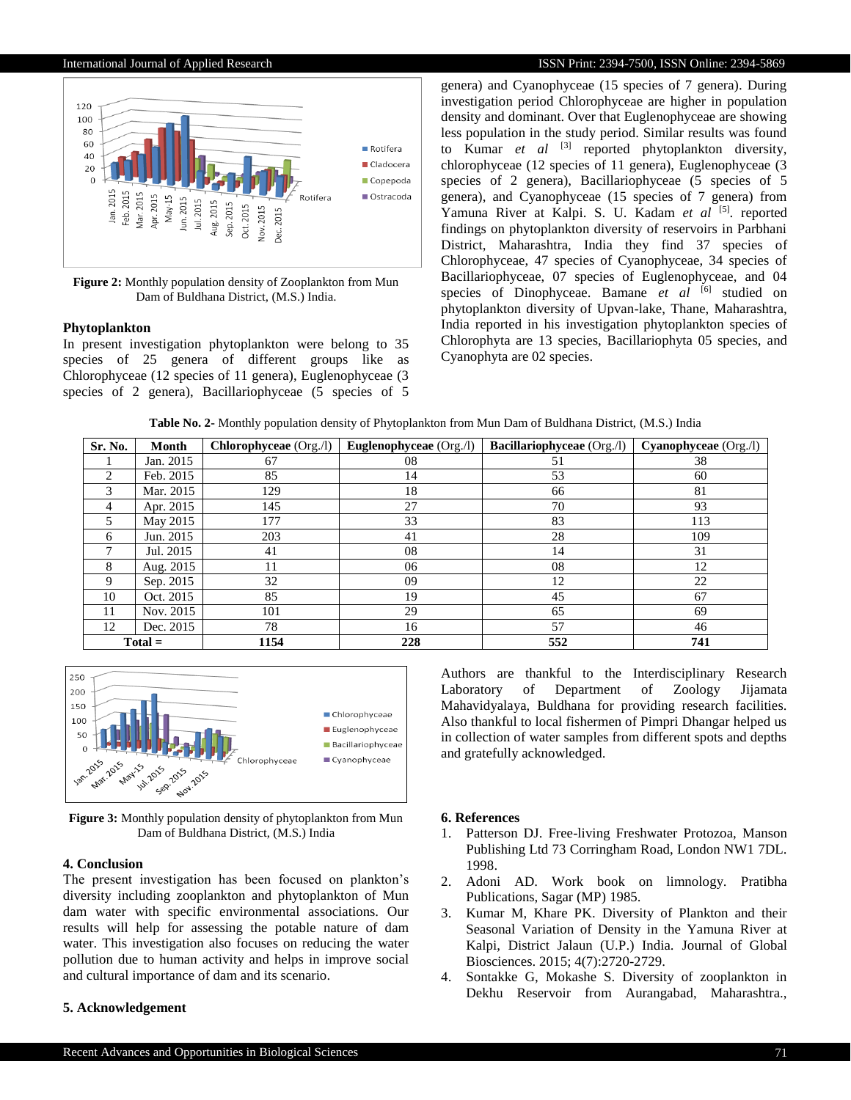

**Figure 2:** Monthly population density of Zooplankton from Mun Dam of Buldhana District, (M.S.) India.

### **Phytoplankton**

In present investigation phytoplankton were belong to 35 species of 25 genera of different groups like as Chlorophyceae (12 species of 11 genera), Euglenophyceae (3 species of 2 genera), Bacillariophyceae (5 species of 5

genera) and Cyanophyceae (15 species of 7 genera). During investigation period Chlorophyceae are higher in population density and dominant. Over that Euglenophyceae are showing less population in the study period. Similar results was found to Kumar *et al* [3] reported phytoplankton diversity, chlorophyceae (12 species of 11 genera), Euglenophyceae (3 species of 2 genera), Bacillariophyceae (5 species of 5 genera), and Cyanophyceae (15 species of 7 genera) from Yamuna River at Kalpi. S. U. Kadam et al <sup>[5]</sup>. reported findings on phytoplankton diversity of reservoirs in Parbhani District, Maharashtra, India they find 37 species of Chlorophyceae, 47 species of Cyanophyceae, 34 species of Bacillariophyceae, 07 species of Euglenophyceae, and 04 species of Dinophyceae. Bamane *et al* [6] studied on phytoplankton diversity of Upvan-lake, Thane, Maharashtra, India reported in his investigation phytoplankton species of Chlorophyta are 13 species, Bacillariophyta 05 species, and Cyanophyta are 02 species.

|  |  | Table No. 2- Monthly population density of Phytoplankton from Mun Dam of Buldhana District, (M.S.) India |
|--|--|----------------------------------------------------------------------------------------------------------|
|--|--|----------------------------------------------------------------------------------------------------------|

| Sr. No.   | Month     | Chlorophyceae (Org./l) | <b>Euglenophyceae</b> (Org./l) | Bacillariophyceae (Org./l) | Cyanophyceae (Org./l) |
|-----------|-----------|------------------------|--------------------------------|----------------------------|-----------------------|
|           | Jan. 2015 | 67                     | 08                             | 51                         | 38                    |
| 2         | Feb. 2015 | 85                     | 14                             | 53                         | 60                    |
| 3         | Mar. 2015 | 129                    | 18                             | 66                         | 81                    |
| 4         | Apr. 2015 | 145                    | 27                             | 70                         | 93                    |
| 5         | May 2015  | 177                    | 33                             | 83                         | 113                   |
| 6         | Jun. 2015 | 203                    | 41                             | 28                         | 109                   |
|           | Jul. 2015 | 41                     | 08                             | 14                         | 31                    |
| 8         | Aug. 2015 | 11                     | 06                             | 08                         | 12                    |
| 9         | Sep. 2015 | 32                     | 09                             | 12                         | 22                    |
| 10        | Oct. 2015 | 85                     | 19                             | 45                         | 67                    |
| 11        | Nov. 2015 | 101                    | 29                             | 65                         | 69                    |
| 12        | Dec. 2015 | 78                     | 16                             | 57                         | 46                    |
| $Total =$ |           | 1154                   | 228                            | 552                        | 741                   |



**Figure 3:** Monthly population density of phytoplankton from Mun Dam of Buldhana District, (M.S.) India

## **4. Conclusion**

The present investigation has been focused on plankton's diversity including zooplankton and phytoplankton of Mun dam water with specific environmental associations. Our results will help for assessing the potable nature of dam water. This investigation also focuses on reducing the water pollution due to human activity and helps in improve social and cultural importance of dam and its scenario.

## **5. Acknowledgement**

Authors are thankful to the Interdisciplinary Research Laboratory of Department of Zoology Jijamata Mahavidyalaya, Buldhana for providing research facilities. Also thankful to local fishermen of Pimpri Dhangar helped us in collection of water samples from different spots and depths and gratefully acknowledged.

## **6. References**

- 1. Patterson DJ. Free-living Freshwater Protozoa, Manson Publishing Ltd 73 Corringham Road, London NW1 7DL. 1998.
- 2. Adoni AD. Work book on limnology. Pratibha Publications, Sagar (MP) 1985.
- 3. Kumar M, Khare PK. Diversity of Plankton and their Seasonal Variation of Density in the Yamuna River at Kalpi, District Jalaun (U.P.) India. Journal of Global Biosciences. 2015; 4(7):2720-2729.
- 4. Sontakke G, Mokashe S. Diversity of zooplankton in Dekhu Reservoir from Aurangabad, Maharashtra.,

### International Journal of Applied Research **ISSN Print: 2394-7500, ISSN Online: 2394-5869**